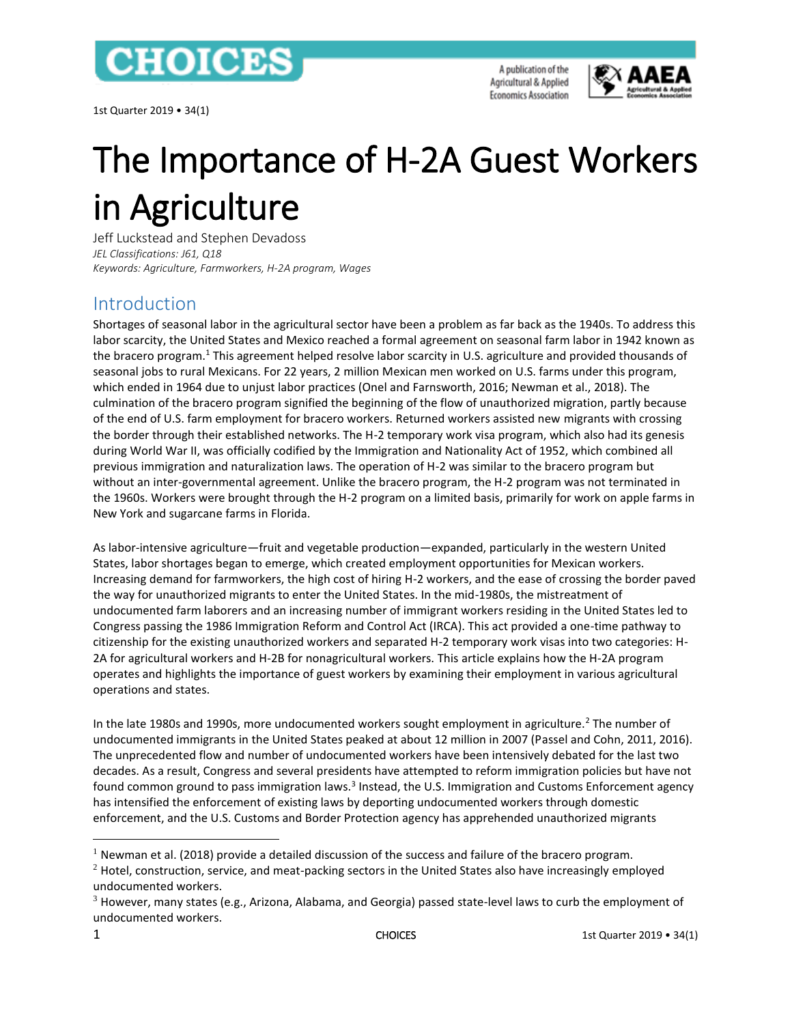

1st Quarter 2019 • 34(1)

A publication of the Agricultural & Applied **Economics Association** 



# The Importance of H-2A Guest Workers in Agriculture

Jeff Luckstead and Stephen Devadoss *JEL Classifications: J61, Q18 Keywords: Agriculture, Farmworkers, H-2A program, Wages*

## Introduction

 $\overline{a}$ 

Shortages of seasonal labor in the agricultural sector have been a problem as far back as the 1940s. To address this labor scarcity, the United States and Mexico reached a formal agreement on seasonal farm labor in 1942 known as the bracero program.<sup>1</sup> This agreement helped resolve labor scarcity in U.S. agriculture and provided thousands of seasonal jobs to rural Mexicans. For 22 years, 2 million Mexican men worked on U.S. farms under this program, which ended in 1964 due to unjust labor practices (Onel and Farnsworth, 2016; Newman et al., 2018). The culmination of the bracero program signified the beginning of the flow of unauthorized migration, partly because of the end of U.S. farm employment for bracero workers. Returned workers assisted new migrants with crossing the border through their established networks. The H-2 temporary work visa program, which also had its genesis during World War II, was officially codified by the Immigration and Nationality Act of 1952, which combined all previous immigration and naturalization laws. The operation of H-2 was similar to the bracero program but without an inter-governmental agreement. Unlike the bracero program, the H-2 program was not terminated in the 1960s. Workers were brought through the H-2 program on a limited basis, primarily for work on apple farms in New York and sugarcane farms in Florida.

As labor-intensive agriculture—fruit and vegetable production—expanded, particularly in the western United States, labor shortages began to emerge, which created employment opportunities for Mexican workers. Increasing demand for farmworkers, the high cost of hiring H-2 workers, and the ease of crossing the border paved the way for unauthorized migrants to enter the United States. In the mid-1980s, the mistreatment of undocumented farm laborers and an increasing number of immigrant workers residing in the United States led to Congress passing the 1986 Immigration Reform and Control Act (IRCA). This act provided a one-time pathway to citizenship for the existing unauthorized workers and separated H-2 temporary work visas into two categories: H-2A for agricultural workers and H-2B for nonagricultural workers. This article explains how the H-2A program operates and highlights the importance of guest workers by examining their employment in various agricultural operations and states.

In the late 1980s and 1990s, more undocumented workers sought employment in agriculture.<sup>2</sup> The number of undocumented immigrants in the United States peaked at about 12 million in 2007 (Passel and Cohn, 2011, 2016). The unprecedented flow and number of undocumented workers have been intensively debated for the last two decades. As a result, Congress and several presidents have attempted to reform immigration policies but have not found common ground to pass immigration laws.<sup>3</sup> Instead, the U.S. Immigration and Customs Enforcement agency has intensified the enforcement of existing laws by deporting undocumented workers through domestic enforcement, and the U.S. Customs and Border Protection agency has apprehended unauthorized migrants

<sup>&</sup>lt;sup>1</sup> Newman et al. (2018) provide a detailed discussion of the success and failure of the bracero program.

 $2$  Hotel, construction, service, and meat-packing sectors in the United States also have increasingly employed undocumented workers.

<sup>3</sup> However, many states (e.g., Arizona, Alabama, and Georgia) passed state-level laws to curb the employment of undocumented workers.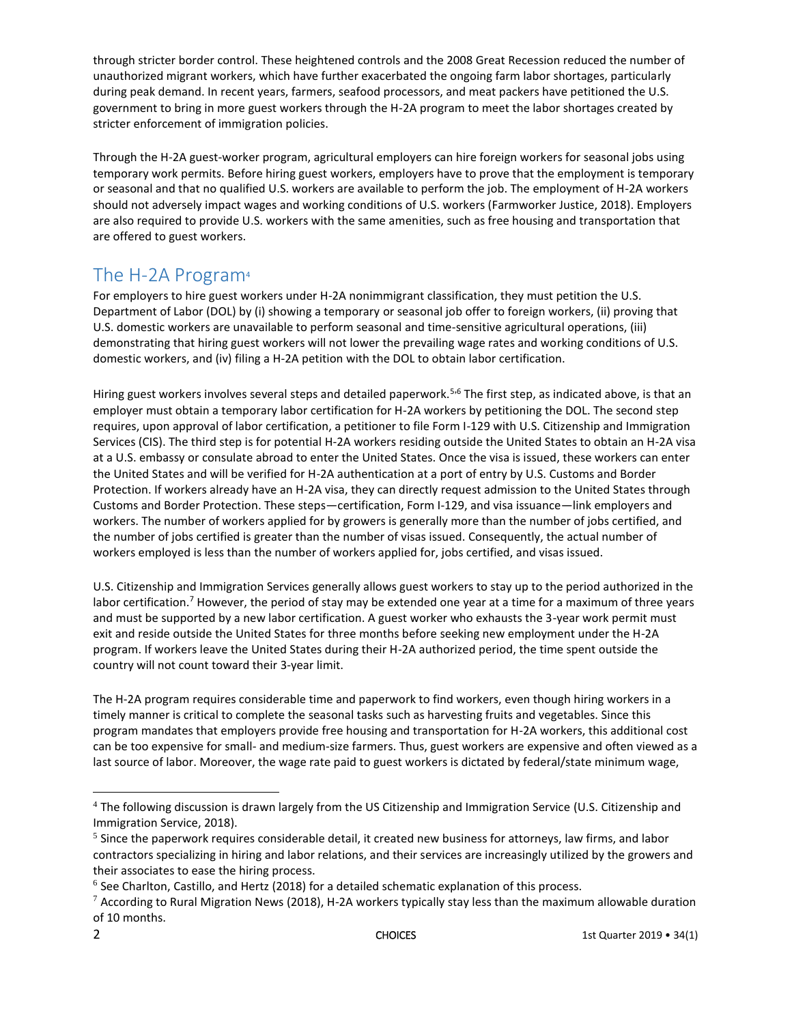through stricter border control. These heightened controls and the 2008 Great Recession reduced the number of unauthorized migrant workers, which have further exacerbated the ongoing farm labor shortages, particularly during peak demand. In recent years, farmers, seafood processors, and meat packers have petitioned the U.S. government to bring in more guest workers through the H-2A program to meet the labor shortages created by stricter enforcement of immigration policies.

Through the H-2A guest-worker program, agricultural employers can hire foreign workers for seasonal jobs using temporary work permits. Before hiring guest workers, employers have to prove that the employment is temporary or seasonal and that no qualified U.S. workers are available to perform the job. The employment of H-2A workers should not adversely impact wages and working conditions of U.S. workers (Farmworker Justice, 2018). Employers are also required to provide U.S. workers with the same amenities, such as free housing and transportation that are offered to guest workers.

## The H-2A Program<sup>4</sup>

For employers to hire guest workers under H-2A nonimmigrant classification, they must petition the U.S. Department of Labor (DOL) by (i) showing a temporary or seasonal job offer to foreign workers, (ii) proving that U.S. domestic workers are unavailable to perform seasonal and time-sensitive agricultural operations, (iii) demonstrating that hiring guest workers will not lower the prevailing wage rates and working conditions of U.S. domestic workers, and (iv) filing a H-2A petition with the DOL to obtain labor certification.

Hiring guest workers involves several steps and detailed paperwork.<sup>5,6</sup> The first step, as indicated above, is that an employer must obtain a temporary labor certification for H-2A workers by petitioning the DOL. The second step requires, upon approval of labor certification, a petitioner to file Form I-129 with U.S. Citizenship and Immigration Services (CIS). The third step is for potential H-2A workers residing outside the United States to obtain an H-2A visa at a U.S. embassy or consulate abroad to enter the United States. Once the visa is issued, these workers can enter the United States and will be verified for H-2A authentication at a port of entry by U.S. Customs and Border Protection. If workers already have an H-2A visa, they can directly request admission to the United States through Customs and Border Protection. These steps—certification, Form I-129, and visa issuance—link employers and workers. The number of workers applied for by growers is generally more than the number of jobs certified, and the number of jobs certified is greater than the number of visas issued. Consequently, the actual number of workers employed is less than the number of workers applied for, jobs certified, and visas issued.

U.S. Citizenship and Immigration Services generally allows guest workers to stay up to the period authorized in the labor certification.<sup>7</sup> However, the period of stay may be extended one year at a time for a maximum of three years and must be supported by a new labor certification. A guest worker who exhausts the 3-year work permit must exit and reside outside the United States for three months before seeking new employment under the H-2A program. If workers leave the United States during their H-2A authorized period, the time spent outside the country will not count toward their 3-year limit.

The H-2A program requires considerable time and paperwork to find workers, even though hiring workers in a timely manner is critical to complete the seasonal tasks such as harvesting fruits and vegetables. Since this program mandates that employers provide free housing and transportation for H-2A workers, this additional cost can be too expensive for small- and medium-size farmers. Thus, guest workers are expensive and often viewed as a last source of labor. Moreover, the wage rate paid to guest workers is dictated by federal/state minimum wage,

 $\overline{\phantom{a}}$ 

<sup>&</sup>lt;sup>4</sup> The following discussion is drawn largely from the US Citizenship and Immigration Service (U.S. Citizenship and Immigration Service, 2018).

 $<sup>5</sup>$  Since the paperwork requires considerable detail, it created new business for attorneys, law firms, and labor</sup> contractors specializing in hiring and labor relations, and their services are increasingly utilized by the growers and their associates to ease the hiring process.

 $^6$  See Charlton, Castillo, and Hertz (2018) for a detailed schematic explanation of this process.

 $7$  According to Rural Migration News (2018), H-2A workers typically stay less than the maximum allowable duration of 10 months.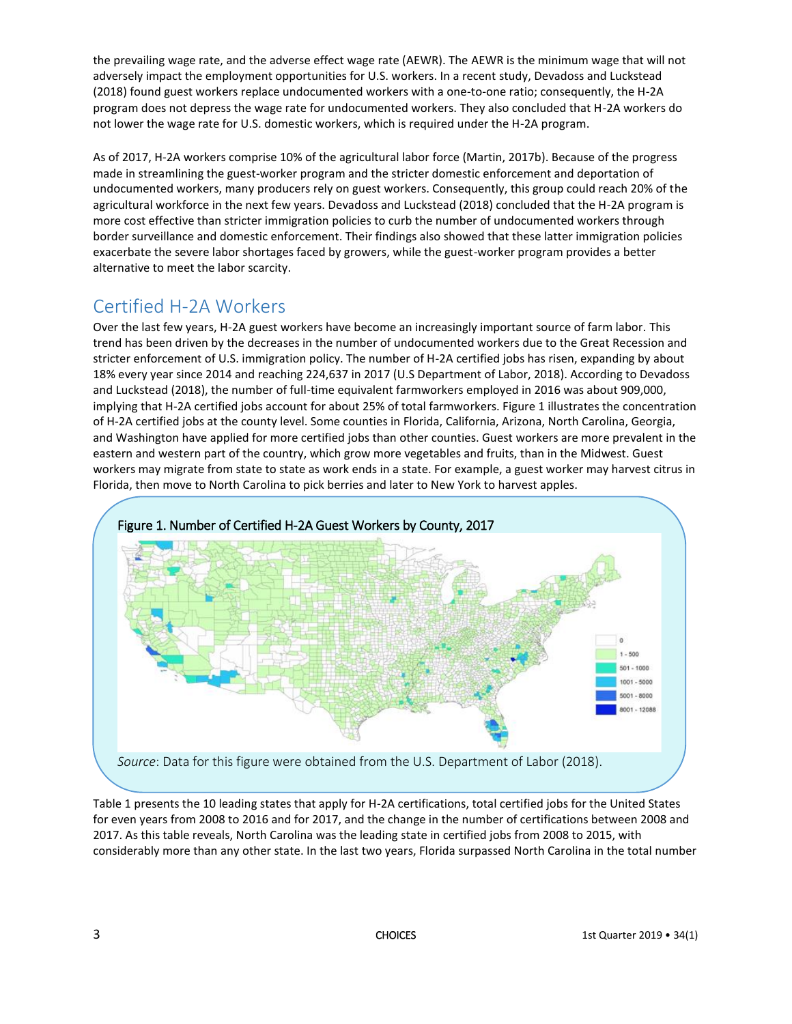the prevailing wage rate, and the adverse effect wage rate (AEWR). The AEWR is the minimum wage that will not adversely impact the employment opportunities for U.S. workers. In a recent study, Devadoss and Luckstead (2018) found guest workers replace undocumented workers with a one-to-one ratio; consequently, the H-2A program does not depress the wage rate for undocumented workers. They also concluded that H-2A workers do not lower the wage rate for U.S. domestic workers, which is required under the H-2A program.

As of 2017, H-2A workers comprise 10% of the agricultural labor force (Martin, 2017b). Because of the progress made in streamlining the guest-worker program and the stricter domestic enforcement and deportation of undocumented workers, many producers rely on guest workers. Consequently, this group could reach 20% of the agricultural workforce in the next few years. Devadoss and Luckstead (2018) concluded that the H-2A program is more cost effective than stricter immigration policies to curb the number of undocumented workers through border surveillance and domestic enforcement. Their findings also showed that these latter immigration policies exacerbate the severe labor shortages faced by growers, while the guest-worker program provides a better alternative to meet the labor scarcity.

## Certified H-2A Workers

Over the last few years, H-2A guest workers have become an increasingly important source of farm labor. This trend has been driven by the decreases in the number of undocumented workers due to the Great Recession and stricter enforcement of U.S. immigration policy. The number of H-2A certified jobs has risen, expanding by about 18% every year since 2014 and reaching 224,637 in 2017 (U.S Department of Labor, 2018). According to Devadoss and Luckstead (2018), the number of full-time equivalent farmworkers employed in 2016 was about 909,000, implying that H-2A certified jobs account for about 25% of total farmworkers. Figure 1 illustrates the concentration of H-2A certified jobs at the county level. Some counties in Florida, California, Arizona, North Carolina, Georgia, and Washington have applied for more certified jobs than other counties. Guest workers are more prevalent in the eastern and western part of the country, which grow more vegetables and fruits, than in the Midwest. Guest workers may migrate from state to state as work ends in a state. For example, a guest worker may harvest citrus in Florida, then move to North Carolina to pick berries and later to New York to harvest apples.



Table 1 presents the 10 leading states that apply for H-2A certifications, total certified jobs for the United States for even years from 2008 to 2016 and for 2017, and the change in the number of certifications between 2008 and 2017. As this table reveals, North Carolina was the leading state in certified jobs from 2008 to 2015, with considerably more than any other state. In the last two years, Florida surpassed North Carolina in the total number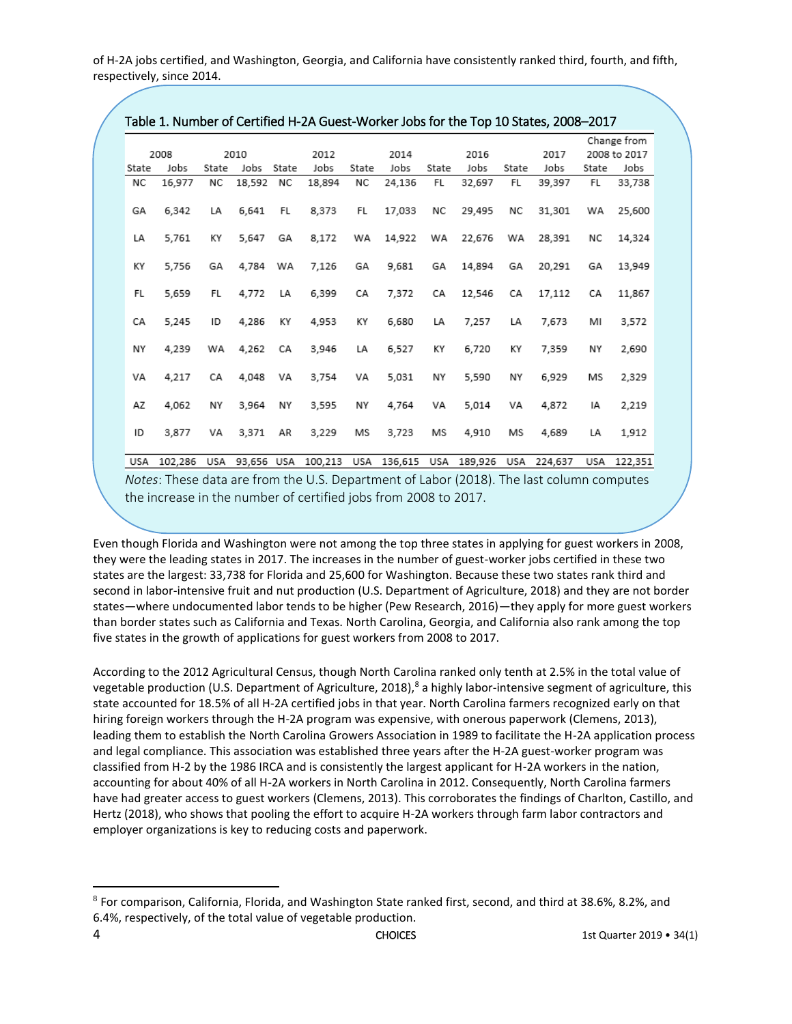of H-2A jobs certified, and Washington, Georgia, and California have consistently ranked third, fourth, and fifth, respectively, since 2014.

|              | Table 1. Number of Certified H-2A Guest-Worker Jobs for the Top 10 States, 2008-2017 |       |            |       |         |              |         |           |         |           |              |       |             |
|--------------|--------------------------------------------------------------------------------------|-------|------------|-------|---------|--------------|---------|-----------|---------|-----------|--------------|-------|-------------|
|              |                                                                                      |       |            |       |         |              |         |           |         |           |              |       | Change from |
| 2008<br>2010 |                                                                                      |       |            | 2012  |         | 2014<br>2016 |         |           |         | 2017      | 2008 to 2017 |       |             |
| State        | Jobs                                                                                 | State | Jobs       | State | Jobs    | State        | Jobs    | State     | Jobs    | State     | Jobs         | State | Jobs        |
| NC           | 16,977                                                                               | NC    | 18,592     | NC    | 18,894  | NC           | 24,136  | <b>FL</b> | 32,697  | <b>FL</b> | 39,397       | FL    | 33,738      |
| GA           | 6.342                                                                                | LA    | 6.641      | FL    | 8.373   | FL           | 17.033  | ΝC        | 29,495  | ΝC        | 31,301       | WA    | 25,600      |
| LA           | 5,761                                                                                | ΚY    | 5.647      | GA    | 8,172   | WA           | 14,922  | WA        | 22,676  | WA        | 28,391       | NC    | 14,324      |
| ΚY           | 5,756                                                                                | GA    | 4,784      | WA    | 7,126   | GA           | 9,681   | GA        | 14,894  | GA        | 20,291       | GA    | 13,949      |
| FL           | 5.659                                                                                | FL    | 4.772      | LA    | 6.399   | СA           | 7,372   | СA        | 12,546  | СA        | 17,112       | CA    | 11,867      |
| CA           | 5.245                                                                                | ID    | 4,286      | ΚY    | 4,953   | ΚY           | 6,680   | LA        | 7,257   | LA        | 7,673        | MI    | 3,572       |
| NΥ           | 4,239                                                                                | WA    | 4,262      | CA    | 3,946   | LA           | 6,527   | ΚY        | 6,720   | ΚY        | 7,359        | NΥ    | 2,690       |
| VA           | 4,217                                                                                | CA    | 4,048      | VA    | 3,754   | VA           | 5,031   | NΥ        | 5,590   | NΥ        | 6,929        | MS    | 2,329       |
| AZ           | 4.062                                                                                | NY    | 3,964      | NΥ    | 3,595   | NΥ           | 4.764   | VA        | 5.014   | VA        | 4,872        | IA    | 2,219       |
| ID           | 3.877                                                                                | VA    | 3.371      | AR    | 3,229   | MS           | 3,723   | MS        | 4,910   | MS        | 4,689        | LA    | 1,912       |
| USA          | 102,286                                                                              | USA   | 93,656 USA |       | 100,213 | USA          | 136,615 | USA       | 189,926 | USA       | 224,637      | USA   | 122,351     |

*Notes*: These data are from the U.S. Department of Labor (2018). The last column computes the increase in the number of certified jobs from 2008 to 2017.

Even though Florida and Washington were not among the top three states in applying for guest workers in 2008, they were the leading states in 2017. The increases in the number of guest-worker jobs certified in these two states are the largest: 33,738 for Florida and 25,600 for Washington. Because these two states rank third and second in labor-intensive fruit and nut production (U.S. Department of Agriculture, 2018) and they are not border states—where undocumented labor tends to be higher (Pew Research, 2016)—they apply for more guest workers than border states such as California and Texas. North Carolina, Georgia, and California also rank among the top five states in the growth of applications for guest workers from 2008 to 2017.

According to the 2012 Agricultural Census, though North Carolina ranked only tenth at 2.5% in the total value of vegetable production (U.S. Department of Agriculture, 2018),<sup>8</sup> a highly labor-intensive segment of agriculture, this state accounted for 18.5% of all H-2A certified jobs in that year. North Carolina farmers recognized early on that hiring foreign workers through the H-2A program was expensive, with onerous paperwork (Clemens, 2013), leading them to establish the North Carolina Growers Association in 1989 to facilitate the H-2A application process and legal compliance. This association was established three years after the H-2A guest-worker program was classified from H-2 by the 1986 IRCA and is consistently the largest applicant for H-2A workers in the nation, accounting for about 40% of all H-2A workers in North Carolina in 2012. Consequently, North Carolina farmers have had greater access to guest workers (Clemens, 2013). This corroborates the findings of Charlton, Castillo, and Hertz (2018), who shows that pooling the effort to acquire H-2A workers through farm labor contractors and employer organizations is key to reducing costs and paperwork.

 $\overline{\phantom{a}}$ 

 $8$  For comparison, California, Florida, and Washington State ranked first, second, and third at 38.6%, 8.2%, and 6.4%, respectively, of the total value of vegetable production.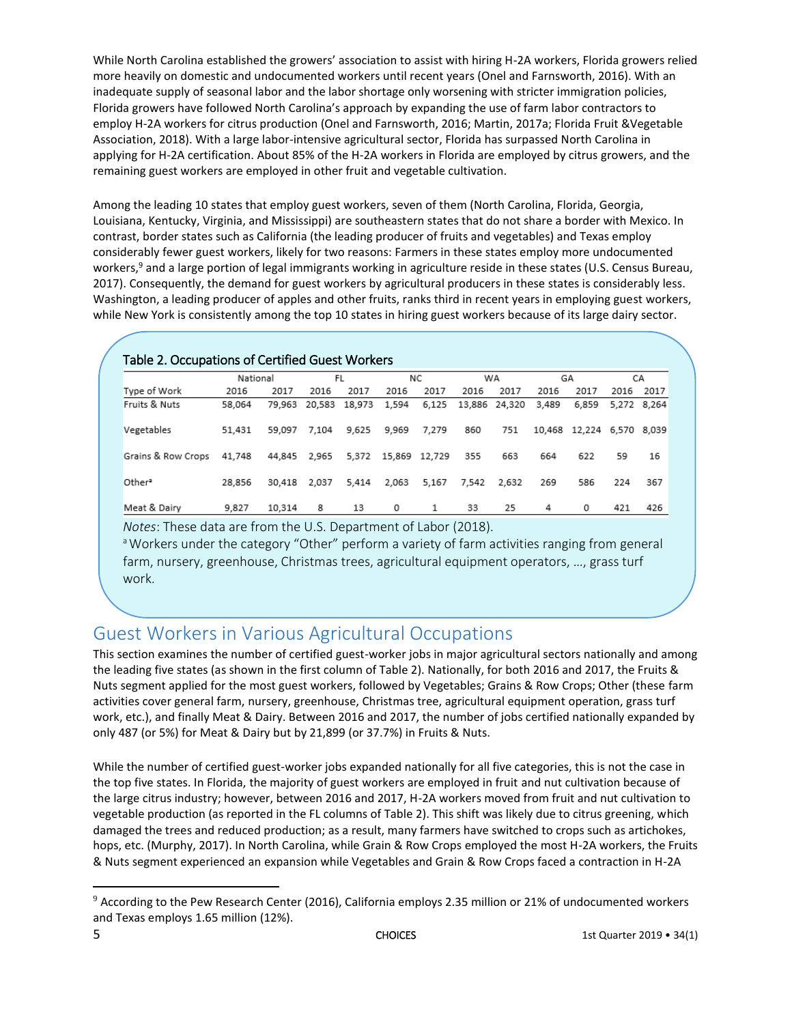While North Carolina established the growers' association to assist with hiring H-2A workers, Florida growers relied more heavily on domestic and undocumented workers until recent years (Onel and Farnsworth, 2016). With an inadequate supply of seasonal labor and the labor shortage only worsening with stricter immigration policies, Florida growers have followed North Carolina's approach by expanding the use of farm labor contractors to employ H-2A workers for citrus production (Onel and Farnsworth, 2016; Martin, 2017a; Florida Fruit &Vegetable Association, 2018). With a large labor-intensive agricultural sector, Florida has surpassed North Carolina in applying for H-2A certification. About 85% of the H-2A workers in Florida are employed by citrus growers, and the remaining guest workers are employed in other fruit and vegetable cultivation.

Among the leading 10 states that employ guest workers, seven of them (North Carolina, Florida, Georgia, Louisiana, Kentucky, Virginia, and Mississippi) are southeastern states that do not share a border with Mexico. In contrast, border states such as California (the leading producer of fruits and vegetables) and Texas employ considerably fewer guest workers, likely for two reasons: Farmers in these states employ more undocumented workers,<sup>9</sup> and a large portion of legal immigrants working in agriculture reside in these states (U.S. Census Bureau, 2017). Consequently, the demand for guest workers by agricultural producers in these states is considerably less. Washington, a leading producer of apples and other fruits, ranks third in recent years in employing guest workers, while New York is consistently among the top 10 states in hiring guest workers because of its large dairy sector.

| Table 2. Occupations of Certified Guest Workers |          |        |        |        |        |        |        |        |        |        |             |      |
|-------------------------------------------------|----------|--------|--------|--------|--------|--------|--------|--------|--------|--------|-------------|------|
|                                                 | National |        | FL     |        | ΝC     |        | WA     |        | GA     |        | СA          |      |
| Type of Work                                    | 2016     | 2017   | 2016   | 2017   | 2016   | 2017   | 2016   | 2017   | 2016   | 2017   | 2016        | 2017 |
| Fruits & Nuts                                   | 58.064   | 79.963 | 20.583 | 18,973 | 1,594  | 6,125  | 13,886 | 24,320 | 3.489  | 6,859  | 5.272 8.264 |      |
| Vegetables                                      | 51,431   | 59.097 | 7.104  | 9.625  | 9.969  | 7.279  | 860    | 751    | 10,468 | 12,224 | 6,570 8,039 |      |
| Grains & Row Crops                              | 41.748   | 44,845 | 2,965  | 5,372  | 15,869 | 12.729 | 355    | 663    | 664    | 622    | 59          | 16   |
| Other <sup>2</sup>                              | 28.856   | 30,418 | 2.037  | 5.414  | 2.063  | 5.167  | 7.542  | 2.632  | 269    | 586    | 224         | 367  |
| Meat & Dairy                                    | 9,827    | 10,314 | 8      | 13     | 0      | 1      | 33     | 25     | 4      | 0      | 421         | 426  |

*Notes*: These data are from the U.S. Department of Labor (2018).

<sup>a</sup> Workers under the category "Other" perform a variety of farm activities ranging from general farm, nursery, greenhouse, Christmas trees, agricultural equipment operators, …, grass turf work.

# Guest Workers in Various Agricultural Occupations

This section examines the number of certified guest-worker jobs in major agricultural sectors nationally and among the leading five states (as shown in the first column of Table 2). Nationally, for both 2016 and 2017, the Fruits & Nuts segment applied for the most guest workers, followed by Vegetables; Grains & Row Crops; Other (these farm activities cover general farm, nursery, greenhouse, Christmas tree, agricultural equipment operation, grass turf work, etc.), and finally Meat & Dairy. Between 2016 and 2017, the number of jobs certified nationally expanded by only 487 (or 5%) for Meat & Dairy but by 21,899 (or 37.7%) in Fruits & Nuts.

While the number of certified guest-worker jobs expanded nationally for all five categories, this is not the case in the top five states. In Florida, the majority of guest workers are employed in fruit and nut cultivation because of the large citrus industry; however, between 2016 and 2017, H-2A workers moved from fruit and nut cultivation to vegetable production (as reported in the FL columns of Table 2). This shift was likely due to citrus greening, which damaged the trees and reduced production; as a result, many farmers have switched to crops such as artichokes, hops, etc. (Murphy, 2017). In North Carolina, while Grain & Row Crops employed the most H-2A workers, the Fruits & Nuts segment experienced an expansion while Vegetables and Grain & Row Crops faced a contraction in H-2A

 $\overline{\phantom{a}}$ 

<sup>9</sup> According to the Pew Research Center (2016), California employs 2.35 million or 21% of undocumented workers and Texas employs 1.65 million (12%).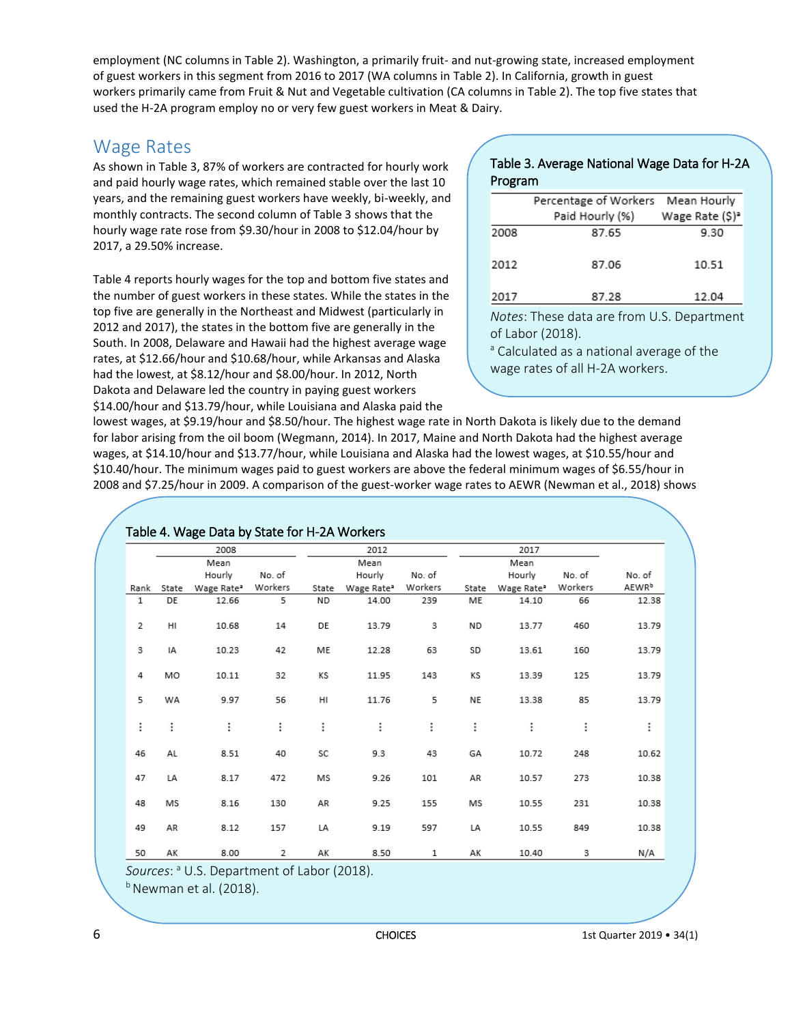employment (NC columns in Table 2). Washington, a primarily fruit- and nut-growing state, increased employment of guest workers in this segment from 2016 to 2017 (WA columns in Table 2). In California, growth in guest workers primarily came from Fruit & Nut and Vegetable cultivation (CA columns in Table 2). The top five states that used the H-2A program employ no or very few guest workers in Meat & Dairy.

#### Wage Rates

As shown in Table 3, 87% of workers are contracted for hourly work and paid hourly wage rates, which remained stable over the last 10 years, and the remaining guest workers have weekly, bi-weekly, and monthly contracts. The second column of Table 3 shows that the hourly wage rate rose from \$9.30/hour in 2008 to \$12.04/hour by 2017, a 29.50% increase.

Table 4 reports hourly wages for the top and bottom five states and the number of guest workers in these states. While the states in the top five are generally in the Northeast and Midwest (particularly in 2012 and 2017), the states in the bottom five are generally in the South. In 2008, Delaware and Hawaii had the highest average wage rates, at \$12.66/hour and \$10.68/hour, while Arkansas and Alaska had the lowest, at \$8.12/hour and \$8.00/hour. In 2012, North Dakota and Delaware led the country in paying guest workers \$14.00/hour and \$13.79/hour, while Louisiana and Alaska paid the

#### Table 3. Average National Wage Data for H-2A Program

|          | Percentage of Workers Mean Hourly                                          |                                 |
|----------|----------------------------------------------------------------------------|---------------------------------|
|          | Paid Hourly (%)                                                            | Wage Rate (\$) <sup>2</sup>     |
| 2008     | 87.65                                                                      | 9.30                            |
| 2012     | 87.06                                                                      | 10.51                           |
| 2017     | 87.28                                                                      | 12.04                           |
| $\cdots$ | $\mathbf{r}$ , the state $\mathbf{r}$<br>and the state of the state of the | $\cdots$ $\sim$ $\sim$ $\cdots$ |

*Notes*: These data are from U.S. Department of Labor (2018).

<sup>a</sup> Calculated as a national average of the wage rates of all H-2A workers.

lowest wages, at \$9.19/hour and \$8.50/hour. The highest wage rate in North Dakota is likely due to the demand for labor arising from the oil boom (Wegmann, 2014). In 2017, Maine and North Dakota had the highest average wages, at \$14.10/hour and \$13.77/hour, while Louisiana and Alaska had the lowest wages, at \$10.55/hour and \$10.40/hour. The minimum wages paid to guest workers are above the federal minimum wages of \$6.55/hour in 2008 and \$7.25/hour in 2009. A comparison of the guest-worker wage rates to AEWR (Newman et al., 2018) shows

|             |          | 2008                   |         |           | 2012                   |         |          | 2017                   |         |                   |  |  |
|-------------|----------|------------------------|---------|-----------|------------------------|---------|----------|------------------------|---------|-------------------|--|--|
| Mean        |          |                        |         |           | Mean                   |         |          | Mean                   |         |                   |  |  |
|             |          | Hourly                 | No. of  |           | Hourly                 | No. of  |          | Hourly                 | No. of  | No. of            |  |  |
| Rank        | State    | Wage Rate <sup>2</sup> | Workers | State     | Wage Rate <sup>®</sup> | Workers | State    | Wage Rate <sup>®</sup> | Workers | AEWR <sup>b</sup> |  |  |
| $\mathbf 1$ | DE       | 12.66                  | 5       | <b>ND</b> | 14.00                  | 239     | ME       | 14.10                  | 66      | 12.38             |  |  |
| 2           | HI       | 10.68                  | 14      | DE        | 13.79                  | 3       | ND.      | 13.77                  | 460     | 13.79             |  |  |
| 3           | IA       | 10.23                  | 42      | ME        | 12.28                  | 63      | SD       | 13.61                  | 160     | 13.79             |  |  |
| 4           | MO       | 10.11                  | 32      | KS        | 11.95                  | 143     | KS       | 13.39                  | 125     | 13.79             |  |  |
| 5           | WA       | 9.97                   | 56      | HI        | 11.76                  | 5       | NE       | 13.38                  | 85      | 13.79             |  |  |
| $\vdots$    | $\vdots$ | $\vdots$               | ፧       | $\vdots$  | ፧                      | :       | $\vdots$ | $\vdots$               | ፧       | ፧                 |  |  |
| 46          | AL       | 8.51                   | 40      | SC        | 9.3                    | 43      | GA       | 10.72                  | 248     | 10.62             |  |  |
| 47          | LA       | 8.17                   | 472     | MS        | 9.26                   | 101     | AR       | 10.57                  | 273     | 10.38             |  |  |
| 48          | MS       | 8.16                   | 130     | AR        | 9.25                   | 155     | MS       | 10.55                  | 231     | 10.38             |  |  |
| 49          | AR       | 8.12                   | 157     | LA        | 9.19                   | 597     | LA       | 10.55                  | 849     | 10.38             |  |  |
| 50          | АK       | 8.00                   | 2       | AK        | 8.50                   | 1       | АK       | 10.40                  | з       | N/A               |  |  |

*Sources*: <sup>a</sup> U.S. Department of Labor (2018).

 $<sup>b</sup>$  Newman et al. (2018).</sup>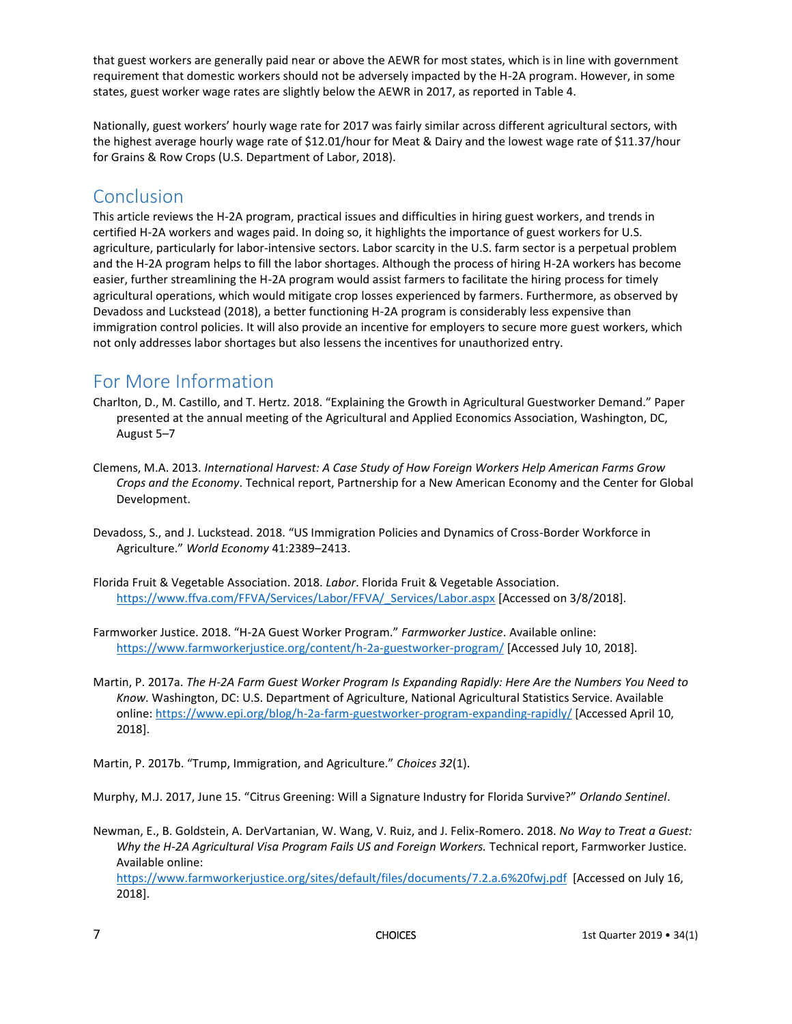that guest workers are generally paid near or above the AEWR for most states, which is in line with government requirement that domestic workers should not be adversely impacted by the H-2A program. However, in some states, guest worker wage rates are slightly below the AEWR in 2017, as reported in Table 4.

Nationally, guest workers' hourly wage rate for 2017 was fairly similar across different agricultural sectors, with the highest average hourly wage rate of \$12.01/hour for Meat & Dairy and the lowest wage rate of \$11.37/hour for Grains & Row Crops (U.S. Department of Labor, 2018).

#### Conclusion

This article reviews the H-2A program, practical issues and difficulties in hiring guest workers, and trends in certified H-2A workers and wages paid. In doing so, it highlights the importance of guest workers for U.S. agriculture, particularly for labor-intensive sectors. Labor scarcity in the U.S. farm sector is a perpetual problem and the H-2A program helps to fill the labor shortages. Although the process of hiring H-2A workers has become easier, further streamlining the H-2A program would assist farmers to facilitate the hiring process for timely agricultural operations, which would mitigate crop losses experienced by farmers. Furthermore, as observed by Devadoss and Luckstead (2018), a better functioning H-2A program is considerably less expensive than immigration control policies. It will also provide an incentive for employers to secure more guest workers, which not only addresses labor shortages but also lessens the incentives for unauthorized entry.

## For More Information

- Charlton, D., M. Castillo, and T. Hertz. 2018. "Explaining the Growth in Agricultural Guestworker Demand." Paper presented at the annual meeting of the Agricultural and Applied Economics Association, Washington, DC, August 5–7
- Clemens, M.A. 2013. *International Harvest: A Case Study of How Foreign Workers Help American Farms Grow Crops and the Economy*. Technical report, Partnership for a New American Economy and the Center for Global Development.
- Devadoss, S., and J. Luckstead. 2018. "US Immigration Policies and Dynamics of Cross-Border Workforce in Agriculture." *World Economy* 41:2389–2413.
- Florida Fruit & Vegetable Association. 2018. *Labor*. Florida Fruit & Vegetable Association. [https://www.ffva.com/FFVA/Services/Labor/FFVA/\\_Services/Labor.aspx](https://www.ffva.com/FFVA/Services/Labor/FFVA/_Services/Labor.aspx) [Accessed on 3/8/2018].
- Farmworker Justice. 2018. "H-2A Guest Worker Program." *Farmworker Justice*. Available online: <https://www.farmworkerjustice.org/content/h-2a-guestworker-program/> [Accessed July 10, 2018].
- Martin, P. 2017a. *The H-2A Farm Guest Worker Program Is Expanding Rapidly: Here Are the Numbers You Need to Know*. Washington, DC: U.S. Department of Agriculture, National Agricultural Statistics Service. Available online[: https://www.epi.org/blog/h-2a-farm-guestworker-program-expanding-rapidly/](https://www.epi.org/blog/h-2a-farm-guestworker-program-expanding-rapidly/) [Accessed April 10, 2018].

Martin, P. 2017b. "Trump, Immigration, and Agriculture." *Choices 32*(1).

Murphy, M.J. 2017, June 15. "Citrus Greening: Will a Signature Industry for Florida Survive?" *Orlando Sentinel*.

Newman, E., B. Goldstein, A. DerVartanian, W. Wang, V. Ruiz, and J. Felix-Romero. 2018. *No Way to Treat a Guest: Why the H-2A Agricultural Visa Program Fails US and Foreign Workers.* Technical report, Farmworker Justice. Available online:

<https://www.farmworkerjustice.org/sites/default/files/documents/7.2.a.6%20fwj.pdf> [Accessed on July 16, 2018].